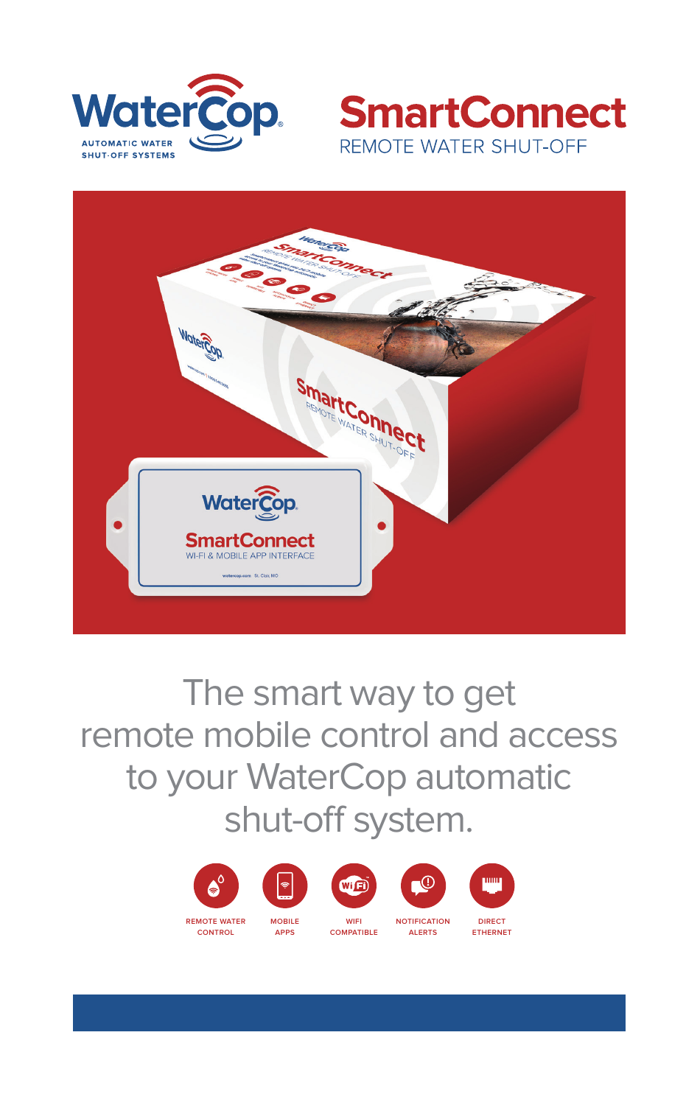





The smart way to get remote mobile control and access to your WaterCop automatic shut-off system.





**MOBILE APPS**





**WIFI COMPATIBLE**



**ALERTS**



**DIRECT ETHERNET**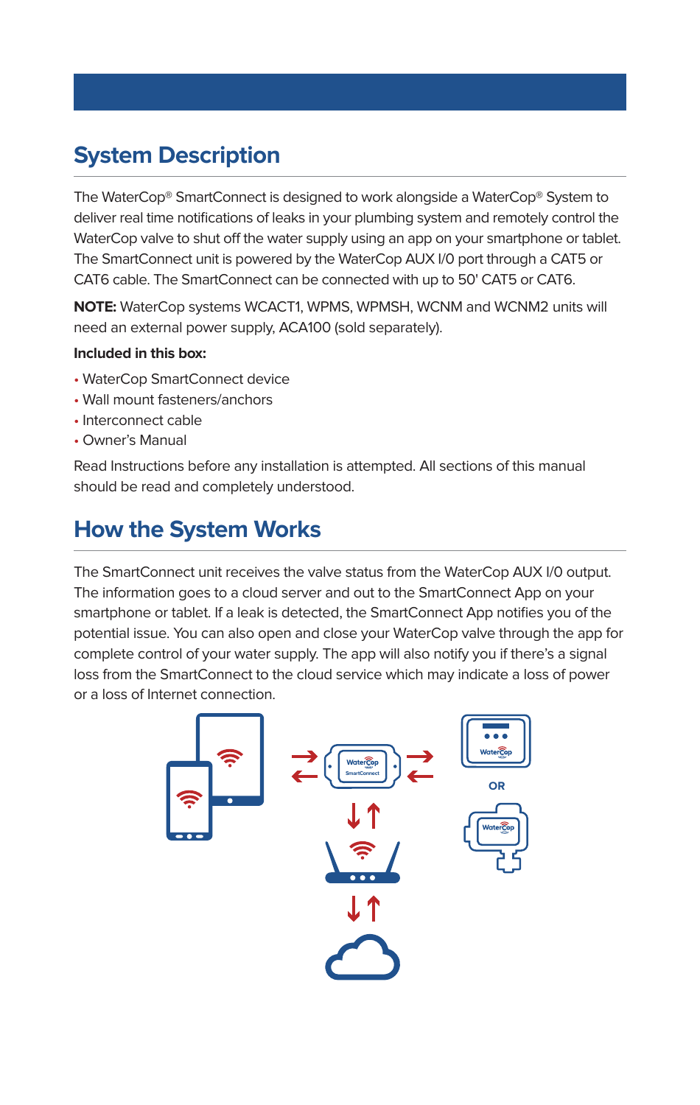# **System Description**

The WaterCop® SmartConnect is designed to work alongside a WaterCop® System to deliver real time notifications of leaks in your plumbing system and remotely control the WaterCop valve to shut off the water supply using an app on your smartphone or tablet. The SmartConnect unit is powered by the WaterCop AUX I/0 port through a CAT5 or CAT6 cable. The SmartConnect can be connected with up to 50' CAT5 or CAT6.

**NOTE:** WaterCop systems WCACT1, WPMS, WPMSH, WCNM and WCNM2 units will need an external power supply, ACA100 (sold separately).

#### **Included in this box:**

- WaterCop SmartConnect device
- Wall mount fasteners/anchors
- Interconnect cable
- Owner's Manual

Read Instructions before any installation is attempted. All sections of this manual should be read and completely understood.

# **How the System Works**

The SmartConnect unit receives the valve status from the WaterCop AUX I/0 output. The information goes to a cloud server and out to the SmartConnect App on your smartphone or tablet. If a leak is detected, the SmartConnect App notifies you of the potential issue. You can also open and close your WaterCop valve through the app for complete control of your water supply. The app will also notify you if there's a signal loss from the SmartConnect to the cloud service which may indicate a loss of power or a loss of Internet connection.

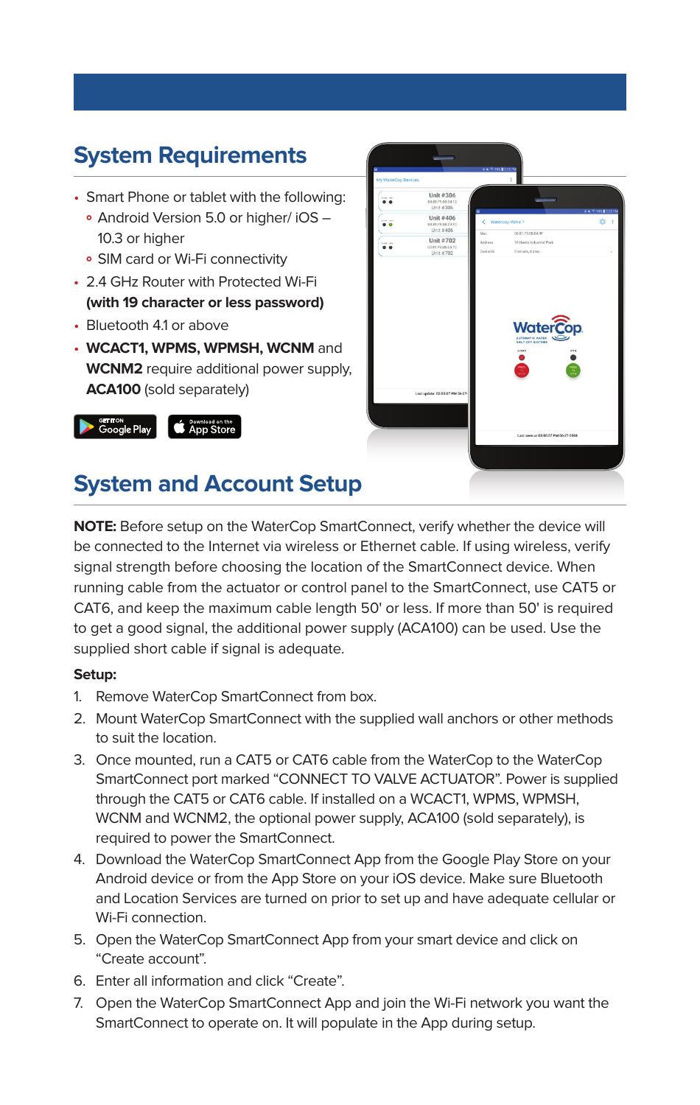# **System Requirements**

- Smart Phone or tablet with the following:
	- **°** Android Version 5.0 or higher/ iOS 10.3 or higher
	- **°** SIM card or Wi-Fi connectivity
- 2.4 GHz Router with Protected Wi-Fi **(with 19 character or less password)**
- Bluetooth 41 or above
- **WCACT1, WPMS, WPMSH, WCNM** and **WCNM2** require additional power supply, **ACA100** (sold separately)





# **System and Account Setup**

**NOTE:** Before setup on the WaterCop SmartConnect, verify whether the device will be connected to the Internet via wireless or Ethernet cable. If using wireless, verify signal strength before choosing the location of the SmartConnect device. When running cable from the actuator or control panel to the SmartConnect, use CAT5 or CAT6, and keep the maximum cable length 50' or less. If more than 50' is required to get a good signal, the additional power supply (ACA100) can be used. Use the supplied short cable if signal is adequate.

#### **Setup:**

- 1. Remove WaterCop SmartConnect from box.
- 2. Mount WaterCop SmartConnect with the supplied wall anchors or other methods to suit the location.
- 3. Once mounted, run a CAT5 or CAT6 cable from the WaterCop to the WaterCop SmartConnect port marked "CONNECT TO VALVE ACTUATOR". Power is supplied through the CAT5 or CAT6 cable. If installed on a WCACT1, WPMS, WPMSH, WCNM and WCNM2, the optional power supply, ACA100 (sold separately), is required to power the SmartConnect.
- 4. Download the WaterCop SmartConnect App from the Google Play Store on your Android device or from the App Store on your iOS device. Make sure Bluetooth and Location Services are turned on prior to set up and have adequate cellular or Wi-Fi connection.
- 5. Open the WaterCop SmartConnect App from your smart device and click on "Create account".
- 6. Enter all information and click "Create".
- 7. Open the WaterCop SmartConnect App and join the Wi-Fi network you want the SmartConnect to operate on. It will populate in the App during setup.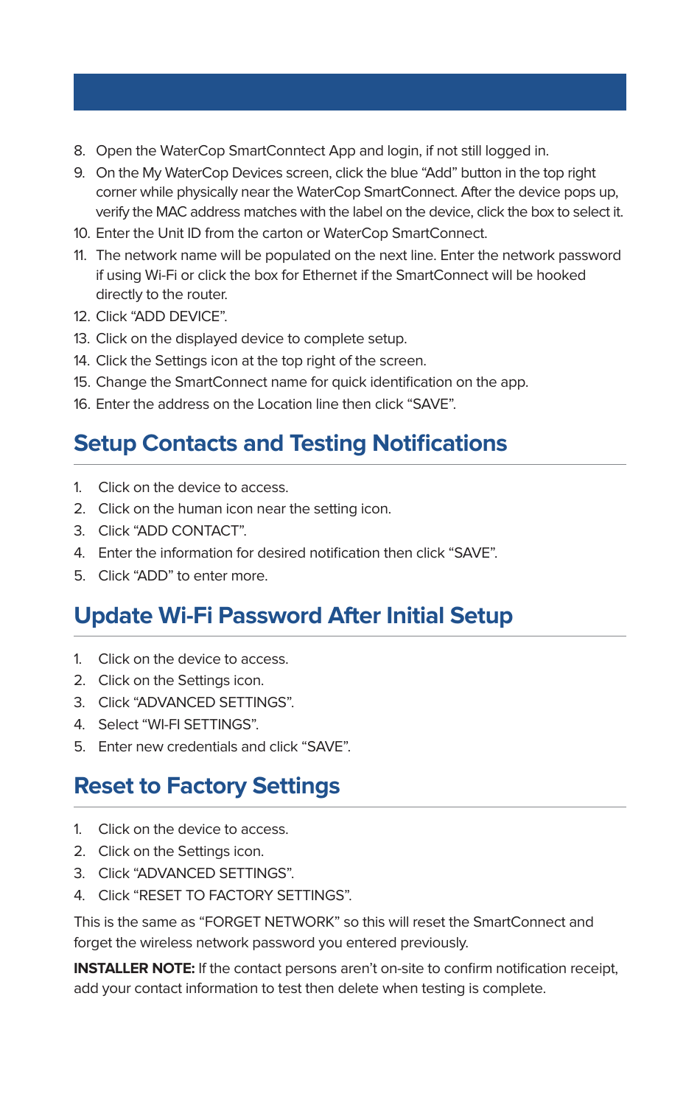- 8. Open the WaterCop SmartConntect App and login, if not still logged in.
- 9. On the My WaterCop Devices screen, click the blue "Add" button in the top right corner while physically near the WaterCop SmartConnect. After the device pops up, verify the MAC address matches with the label on the device, click the box to select it.
- 10. Enter the Unit ID from the carton or WaterCop SmartConnect.
- 11. The network name will be populated on the next line. Enter the network password if using Wi-Fi or click the box for Ethernet if the SmartConnect will be hooked directly to the router.
- 12. Click "ADD DEVICE".
- 13. Click on the displayed device to complete setup.
- 14. Click the Settings icon at the top right of the screen.
- 15. Change the SmartConnect name for quick identification on the app.
- 16. Enter the address on the Location line then click "SAVE".

### **Setup Contacts and Testing Notifications**

- 1. Click on the device to access.
- 2. Click on the human icon near the setting icon.
- 3. Click "ADD CONTACT".
- 4. Enter the information for desired notification then click "SAVE".
- 5. Click "ADD" to enter more.

## **Update Wi-Fi Password After Initial Setup**

- 1. Click on the device to access.
- 2. Click on the Settings icon.
- 3. Click "ADVANCED SETTINGS".
- 4. Select "WI-FI SETTINGS".
- 5. Enter new credentials and click "SAVE".

### **Reset to Factory Settings**

- 1. Click on the device to access.
- 2. Click on the Settings icon.
- 3. Click "ADVANCED SETTINGS".
- 4. Click "RESET TO FACTORY SETTINGS".

This is the same as "FORGET NETWORK" so this will reset the SmartConnect and forget the wireless network password you entered previously.

**INSTALLER NOTE:** If the contact persons aren't on-site to confirm notification receipt, add your contact information to test then delete when testing is complete.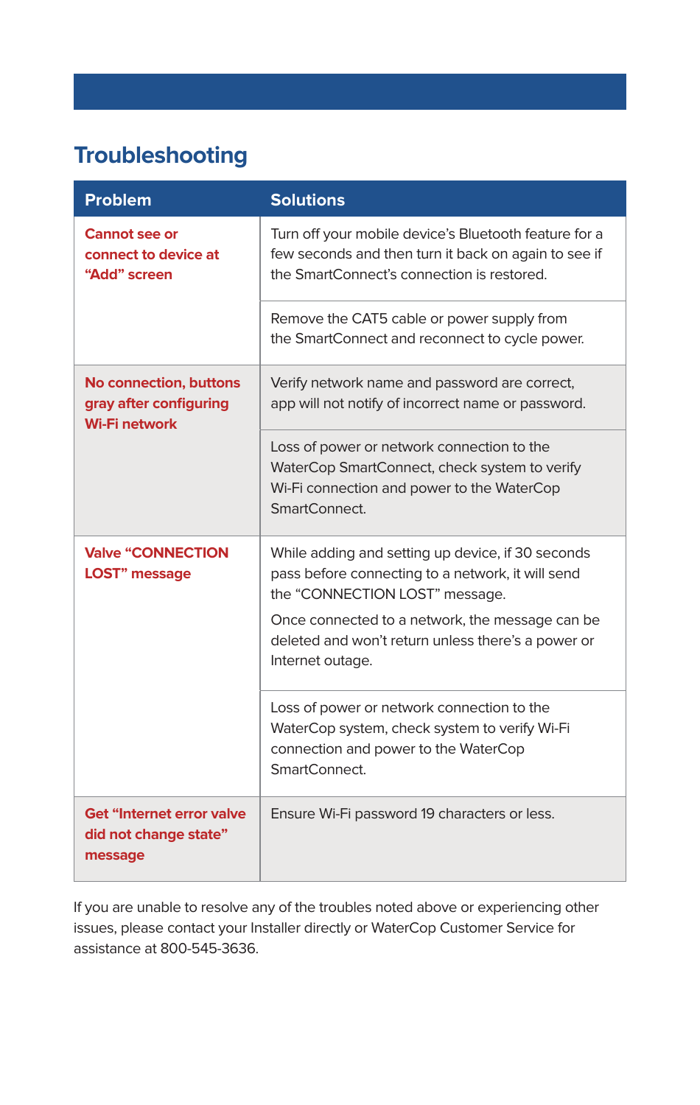# **Troubleshooting**

| <b>Problem</b>                                                           | <b>Solutions</b>                                                                                                                                            |
|--------------------------------------------------------------------------|-------------------------------------------------------------------------------------------------------------------------------------------------------------|
| Cannot see or<br>connect to device at<br>"Add" screen                    | Turn off your mobile device's Bluetooth feature for a<br>few seconds and then turn it back on again to see if<br>the SmartConnect's connection is restored. |
|                                                                          | Remove the CAT5 cable or power supply from<br>the SmartConnect and reconnect to cycle power.                                                                |
| No connection, buttons<br>gray after configuring<br><b>Wi-Fi network</b> | Verify network name and password are correct,<br>app will not notify of incorrect name or password.                                                         |
|                                                                          | Loss of power or network connection to the<br>WaterCop SmartConnect, check system to verify<br>Wi-Fi connection and power to the WaterCop<br>SmartConnect.  |
| <b>Valve "CONNECTION</b><br><b>LOST</b> " message                        | While adding and setting up device, if 30 seconds<br>pass before connecting to a network, it will send<br>the "CONNECTION LOST" message.                    |
|                                                                          | Once connected to a network, the message can be<br>deleted and won't return unless there's a power or<br>Internet outage.                                   |
|                                                                          | Loss of power or network connection to the<br>WaterCop system, check system to verify Wi-Fi<br>connection and power to the WaterCop<br>SmartConnect.        |
| Get "Internet error valve<br>did not change state"<br>message            | Ensure Wi-Fi password 19 characters or less.                                                                                                                |

If you are unable to resolve any of the troubles noted above or experiencing other issues, please contact your Installer directly or WaterCop Customer Service for assistance at 800-545-3636.